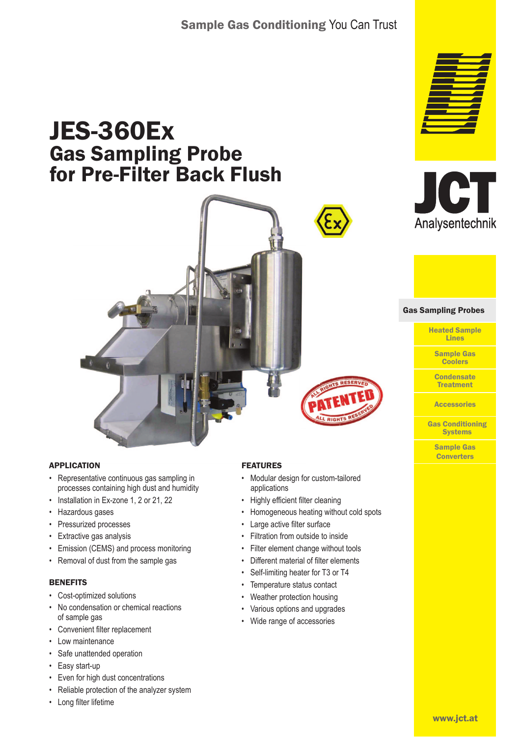## Sample Gas Conditioning You Can Trust

# JES-360Ex Gas Sampling Probe for Pre-Filter Back Flush



#### APPLICATION

- Representative continuous gas sampling in processes containing high dust and humidity
- Installation in Ex-zone 1, 2 or 21, 22
- Hazardous gases
- Pressurized processes
- Extractive gas analysis
- Emission (CEMS) and process monitoring
- Removal of dust from the sample gas

#### **BENEFITS**

- Cost-optimized solutions
- No condensation or chemical reactions of sample gas
- Convenient filter replacement
- Low maintenance
- Safe unattended operation
- Easy start-up
- Even for high dust concentrations
- Reliable protection of the analyzer system
- Long filter lifetime

#### FEATURES

- Modular design for custom-tailored applications
- Highly efficient filter cleaning
- Homogeneous heating without cold spots
- Large active filter surface
- Filtration from outside to inside
- Filter element change without tools
- Different material of filter elements
- Self-limiting heater for T3 or T4
- Temperature status contact
- Weather protection housing
- Various options and upgrades
- Wide range of accessories





#### Gas Sampling Probes Gas Sampling Probes

Heated Sample Lines

Sample Gas **Coolers** 

**Condensate** Treatment

**Accessories** 

Gas Conditioning **Systems** 

Sample Gas **Converters**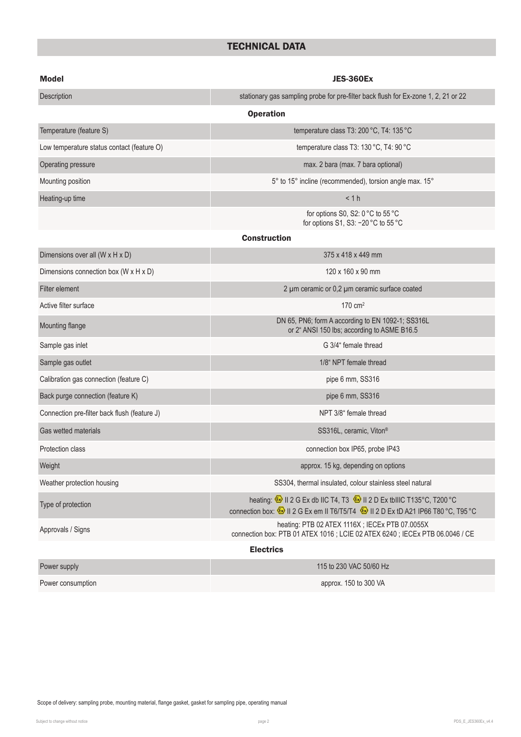## TECHNICAL DATA

| <b>Model</b>                                 | <b>JES-360Ex</b>                                                                                                                                                                                                                                                                     |  |  |  |  |
|----------------------------------------------|--------------------------------------------------------------------------------------------------------------------------------------------------------------------------------------------------------------------------------------------------------------------------------------|--|--|--|--|
| Description                                  | stationary gas sampling probe for pre-filter back flush for Ex-zone 1, 2, 21 or 22                                                                                                                                                                                                   |  |  |  |  |
|                                              | <b>Operation</b>                                                                                                                                                                                                                                                                     |  |  |  |  |
| Temperature (feature S)                      | temperature class T3: 200 °C, T4: 135 °C                                                                                                                                                                                                                                             |  |  |  |  |
| Low temperature status contact (feature O)   | temperature class T3: 130 °C, T4: 90 °C                                                                                                                                                                                                                                              |  |  |  |  |
| Operating pressure                           | max. 2 bara (max. 7 bara optional)                                                                                                                                                                                                                                                   |  |  |  |  |
| Mounting position                            | 5° to 15° incline (recommended), torsion angle max. 15°                                                                                                                                                                                                                              |  |  |  |  |
| Heating-up time                              | < 1 h                                                                                                                                                                                                                                                                                |  |  |  |  |
|                                              | for options S0, S2: 0 °C to 55 °C<br>for options S1, S3: -20 °C to 55 °C                                                                                                                                                                                                             |  |  |  |  |
|                                              | <b>Construction</b>                                                                                                                                                                                                                                                                  |  |  |  |  |
| Dimensions over all (W x H x D)              | 375 x 418 x 449 mm                                                                                                                                                                                                                                                                   |  |  |  |  |
| Dimensions connection box (W x H x D)        | 120 x 160 x 90 mm                                                                                                                                                                                                                                                                    |  |  |  |  |
| Filter element                               | 2 µm ceramic or 0,2 µm ceramic surface coated                                                                                                                                                                                                                                        |  |  |  |  |
| Active filter surface                        | $170 \text{ cm}^2$                                                                                                                                                                                                                                                                   |  |  |  |  |
| Mounting flange                              | DN 65, PN6; form A according to EN 1092-1; SS316L<br>or 2" ANSI 150 lbs; according to ASME B16.5                                                                                                                                                                                     |  |  |  |  |
| Sample gas inlet                             | G 3/4" female thread                                                                                                                                                                                                                                                                 |  |  |  |  |
| Sample gas outlet                            | 1/8" NPT female thread                                                                                                                                                                                                                                                               |  |  |  |  |
| Calibration gas connection (feature C)       | pipe 6 mm, SS316                                                                                                                                                                                                                                                                     |  |  |  |  |
| Back purge connection (feature K)            | pipe 6 mm, SS316                                                                                                                                                                                                                                                                     |  |  |  |  |
| Connection pre-filter back flush (feature J) | NPT 3/8" female thread                                                                                                                                                                                                                                                               |  |  |  |  |
| Gas wetted materials                         | SS316L, ceramic, Viton®                                                                                                                                                                                                                                                              |  |  |  |  |
| Protection class                             | connection box IP65, probe IP43                                                                                                                                                                                                                                                      |  |  |  |  |
| Weight                                       | approx. 15 kg, depending on options                                                                                                                                                                                                                                                  |  |  |  |  |
| Weather protection housing                   | SS304, thermal insulated, colour stainless steel natural                                                                                                                                                                                                                             |  |  |  |  |
| Type of protection                           | heating: $\textcircled{\tiny{\textcircled{\tiny \textcirc}}}$ II 2 G Ex db IIC T4, T3 $\textcircled{\tiny{\textcircled{\tiny \textcircled{\tiny \textcirc}}} }$ II 2 D Ex tbIIIC T135°C, T200°C<br>connection box: ۞ II 2 G Ex em II T6/T5/T4 ۞ II 2 D Ex tD A21 IP66 T80 °C, T95 °C |  |  |  |  |
| Approvals / Signs                            | heating: PTB 02 ATEX 1116X; IECEx PTB 07.0055X<br>connection box: PTB 01 ATEX 1016 ; LCIE 02 ATEX 6240 ; IECEx PTB 06.0046 / CE                                                                                                                                                      |  |  |  |  |
|                                              | <b>Electrics</b>                                                                                                                                                                                                                                                                     |  |  |  |  |
| Power supply                                 | 115 to 230 VAC 50/60 Hz                                                                                                                                                                                                                                                              |  |  |  |  |
|                                              |                                                                                                                                                                                                                                                                                      |  |  |  |  |

Power consumption approx. 150 to 300 VA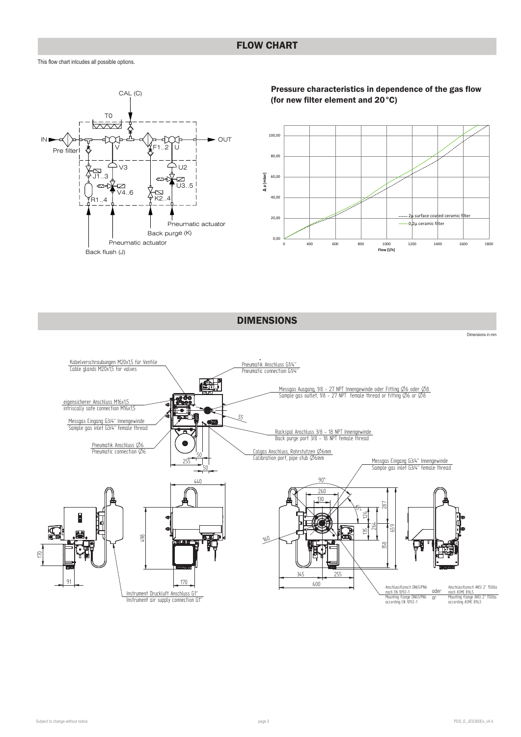This flow chart inlcudes all possible options.



Pressure characteristics in dependence of the gas flow (for new filter element and 20°C)



DIMENSIONS